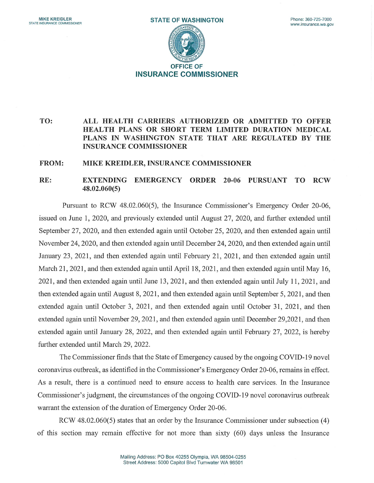

## TO: ALL HEALTH CARRIERS AUTHORIZED OR ADMITTED TO OFFER HEALTH PLANS OR SHORT TERM LIMITED DURATION MEDICAL PLANS IN WASHINGTON STATE THAT ARE REGULATED BY THE INSURANCE COMMISSIONER

## FROM: MIKE KREIDLER, INSURANCE COMMISSIONER

## RE: EXTENDING EMERGENCY ORDER 20-06 PURSUANT TO RCW 48.02.060(5)

Pursuant to RCW 48.02.060(5), the Insurance Commissioner's Emergency Order 20-06, issued on June 1, 2020, and previously extended until August 27, 2020, and further extended until September 27, 2020, and then extended again until October 25, 2020, and then extended again until November 24, 2020, and then extended again until December 24, 2020, and then extended again until January 23, 2021, and then extended again until February 21, 2021, and then extended again until March 21, 2021, and then extended again until April 18, 2021, and then extended again until May 16, 2021, and then extended again until June 13, 2021, and then extended again until July 11, 2021, and then extended again until August 8, 2021, and then extended again until September 5, 2021, and then extended again until October 3, 2021, and then extended again until October 31, 2021, and then extended again until November 29, 2021, and then extended again until December 29,2021, and then extended again until January 28, 2022, and then extended again until February 27, 2022, is hereby further extended until March 29, 2022.

The Commissioner finds that the State of Emergency caused by the ongoing COVID-19 novel coronavirus outbreak, as identified in the Commissioner's Emergency Order 20-06, remains in effect. As a result, there is a continued need to ensure access to health care services. In the Insurance Commissioner's judgment, the circumstances of the ongoing COVID-19 novel coronavirus outbreak warrant the extension of the duration of Emergency Order 20-06.

RCW 48.02.060(5) states that an order by the Insurance Commissioner under subsection (4) of this section may remain effective for not more than sixty (60) days unless the Insurance